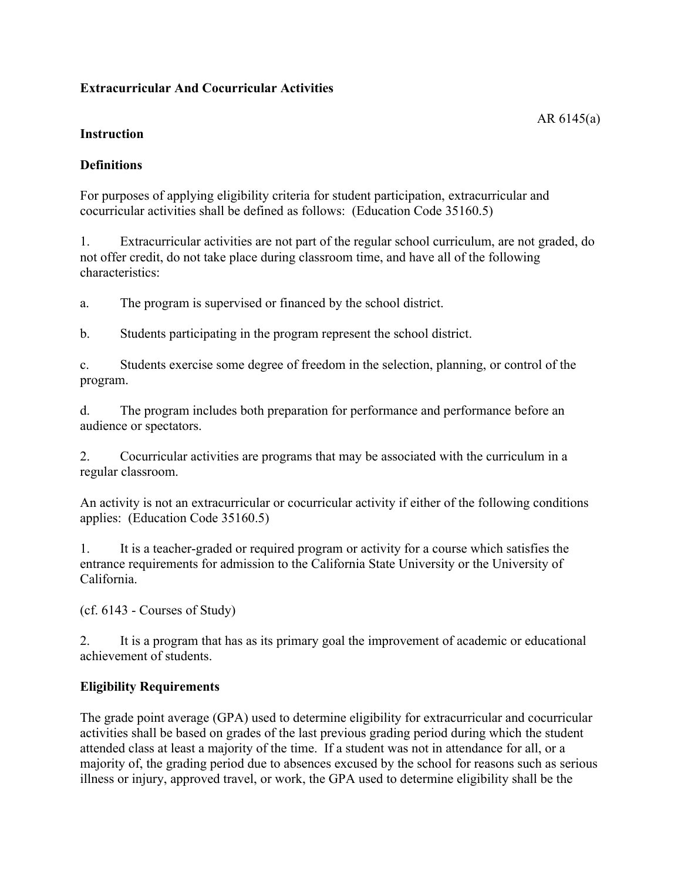# **Extracurricular And Cocurricular Activities**

#### **Instruction**

## **Definitions**

For purposes of applying eligibility criteria for student participation, extracurricular and cocurricular activities shall be defined as follows: (Education Code 35160.5)

1. Extracurricular activities are not part of the regular school curriculum, are not graded, do not offer credit, do not take place during classroom time, and have all of the following characteristics:

a. The program is supervised or financed by the school district.

b. Students participating in the program represent the school district.

c. Students exercise some degree of freedom in the selection, planning, or control of the program.

d. The program includes both preparation for performance and performance before an audience or spectators.

2. Cocurricular activities are programs that may be associated with the curriculum in a regular classroom.

An activity is not an extracurricular or cocurricular activity if either of the following conditions applies: (Education Code 35160.5)

1. It is a teacher-graded or required program or activity for a course which satisfies the entrance requirements for admission to the California State University or the University of California.

(cf. 6143 - Courses of Study)

2. It is a program that has as its primary goal the improvement of academic or educational achievement of students.

## **Eligibility Requirements**

The grade point average (GPA) used to determine eligibility for extracurricular and cocurricular activities shall be based on grades of the last previous grading period during which the student attended class at least a majority of the time. If a student was not in attendance for all, or a majority of, the grading period due to absences excused by the school for reasons such as serious illness or injury, approved travel, or work, the GPA used to determine eligibility shall be the